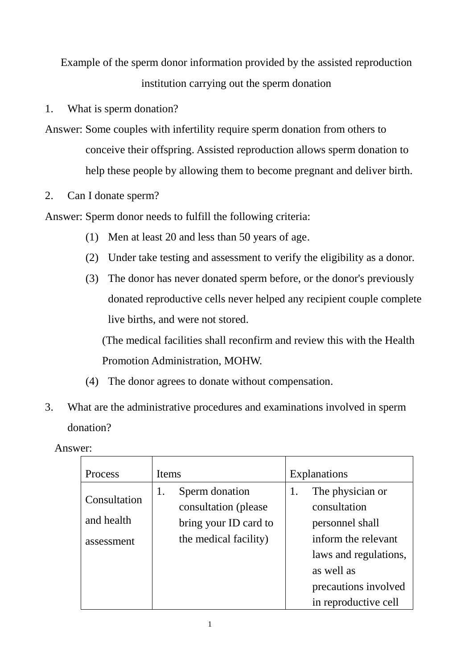Example of the sperm donor information provided by the assisted reproduction institution carrying out the sperm donation

- 1. What is sperm donation?
- Answer: Some couples with infertility require sperm donation from others to conceive their offspring. Assisted reproduction allows sperm donation to help these people by allowing them to become pregnant and deliver birth.
- 2. Can I donate sperm?

Answer: Sperm donor needs to fulfill the following criteria:

- (1) Men at least 20 and less than 50 years of age.
- (2) Under take testing and assessment to verify the eligibility as a donor.
- (3) The donor has never donated sperm before, or the donor's previously donated reproductive cells never helped any recipient couple complete live births, and were not stored.

(The medical facilities shall reconfirm and review this with the Health Promotion Administration, MOHW.

- (4) The donor agrees to donate without compensation.
- 3. What are the administrative procedures and examinations involved in sperm donation?

Answer:

| Process                                  | Items                                                                                           | <b>Explanations</b>                                                                                                                             |
|------------------------------------------|-------------------------------------------------------------------------------------------------|-------------------------------------------------------------------------------------------------------------------------------------------------|
| Consultation<br>and health<br>assessment | Sperm donation<br>1.<br>consultation (please)<br>bring your ID card to<br>the medical facility) | The physician or<br>1.<br>consultation<br>personnel shall<br>inform the relevant<br>laws and regulations,<br>as well as<br>precautions involved |
|                                          |                                                                                                 | in reproductive cell                                                                                                                            |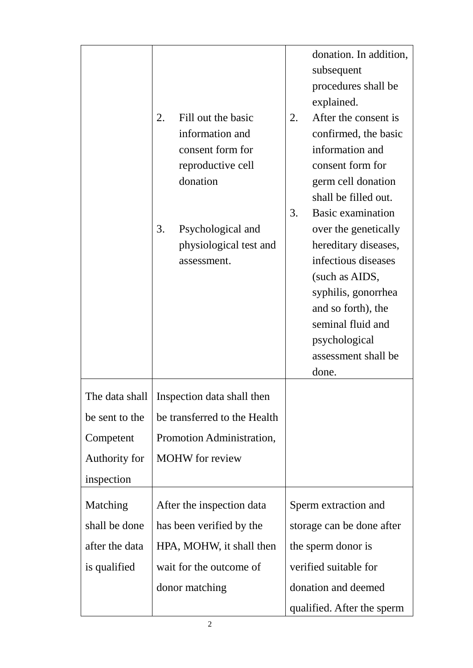|                | 2.<br>Fill out the basic<br>information and<br>consent form for<br>reproductive cell<br>donation<br>3.<br>Psychological and<br>physiological test and<br>assessment. | donation. In addition,<br>subsequent<br>procedures shall be<br>explained.<br>After the consent is<br>2.<br>confirmed, the basic<br>information and<br>consent form for<br>germ cell donation<br>shall be filled out.<br>3.<br><b>Basic examination</b><br>over the genetically<br>hereditary diseases,<br>infectious diseases<br>(such as AIDS,<br>syphilis, gonorrhea<br>and so forth), the<br>seminal fluid and<br>psychological<br>assessment shall be<br>done. |
|----------------|----------------------------------------------------------------------------------------------------------------------------------------------------------------------|--------------------------------------------------------------------------------------------------------------------------------------------------------------------------------------------------------------------------------------------------------------------------------------------------------------------------------------------------------------------------------------------------------------------------------------------------------------------|
|                | The data shall   Inspection data shall then                                                                                                                          |                                                                                                                                                                                                                                                                                                                                                                                                                                                                    |
| be sent to the | be transferred to the Health                                                                                                                                         |                                                                                                                                                                                                                                                                                                                                                                                                                                                                    |
| Competent      | Promotion Administration,                                                                                                                                            |                                                                                                                                                                                                                                                                                                                                                                                                                                                                    |
| Authority for  | <b>MOHW</b> for review                                                                                                                                               |                                                                                                                                                                                                                                                                                                                                                                                                                                                                    |
| inspection     |                                                                                                                                                                      |                                                                                                                                                                                                                                                                                                                                                                                                                                                                    |
| Matching       | After the inspection data                                                                                                                                            | Sperm extraction and                                                                                                                                                                                                                                                                                                                                                                                                                                               |
| shall be done  | has been verified by the                                                                                                                                             | storage can be done after                                                                                                                                                                                                                                                                                                                                                                                                                                          |
| after the data | HPA, MOHW, it shall then                                                                                                                                             | the sperm donor is                                                                                                                                                                                                                                                                                                                                                                                                                                                 |
| is qualified   | wait for the outcome of                                                                                                                                              | verified suitable for                                                                                                                                                                                                                                                                                                                                                                                                                                              |
|                | donor matching                                                                                                                                                       | donation and deemed                                                                                                                                                                                                                                                                                                                                                                                                                                                |
|                |                                                                                                                                                                      | qualified. After the sperm                                                                                                                                                                                                                                                                                                                                                                                                                                         |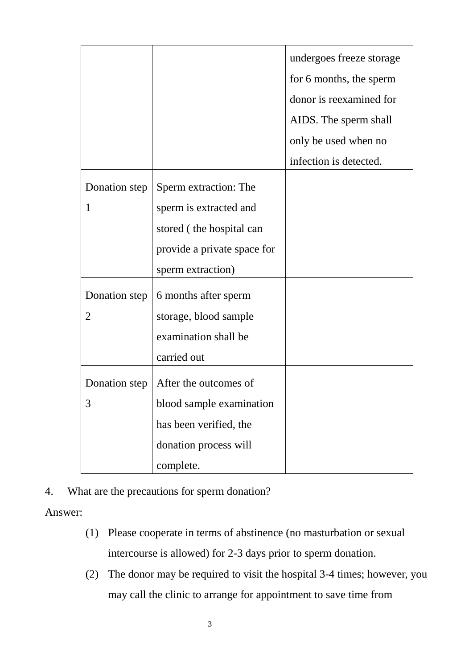|                    |                                                                                                                                 | undergoes freeze storage<br>for 6 months, the sperm<br>donor is reexamined for<br>AIDS. The sperm shall<br>only be used when no<br>infection is detected. |
|--------------------|---------------------------------------------------------------------------------------------------------------------------------|-----------------------------------------------------------------------------------------------------------------------------------------------------------|
| Donation step<br>1 | Sperm extraction: The<br>sperm is extracted and<br>stored (the hospital can<br>provide a private space for<br>sperm extraction) |                                                                                                                                                           |
| Donation step<br>2 | 6 months after sperm<br>storage, blood sample<br>examination shall be<br>carried out                                            |                                                                                                                                                           |
| Donation step<br>3 | After the outcomes of<br>blood sample examination<br>has been verified, the<br>donation process will<br>complete.               |                                                                                                                                                           |

4. What are the precautions for sperm donation?

Answer:

- (1) Please cooperate in terms of abstinence (no masturbation or sexual intercourse is allowed) for 2-3 days prior to sperm donation.
- (2) The donor may be required to visit the hospital 3-4 times; however, you may call the clinic to arrange for appointment to save time from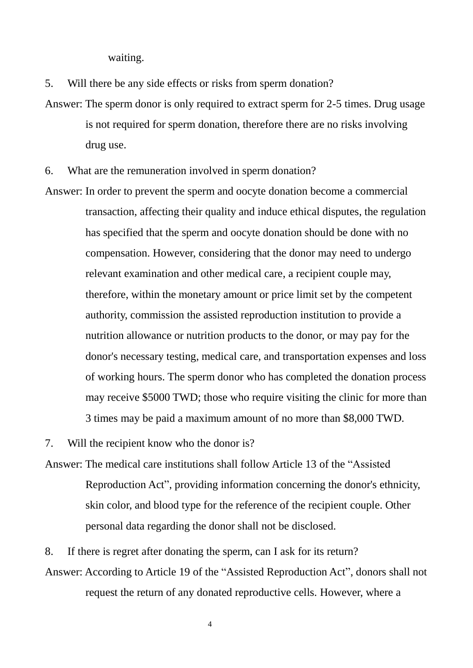waiting.

5. Will there be any side effects or risks from sperm donation?

- Answer: The sperm donor is only required to extract sperm for 2-5 times. Drug usage is not required for sperm donation, therefore there are no risks involving drug use.
- 6. What are the remuneration involved in sperm donation?
- Answer: In order to prevent the sperm and oocyte donation become a commercial transaction, affecting their quality and induce ethical disputes, the regulation has specified that the sperm and oocyte donation should be done with no compensation. However, considering that the donor may need to undergo relevant examination and other medical care, a recipient couple may, therefore, within the monetary amount or price limit set by the competent authority, commission the assisted reproduction institution to provide a nutrition allowance or nutrition products to the donor, or may pay for the donor's necessary testing, medical care, and transportation expenses and loss of working hours. The sperm donor who has completed the donation process may receive \$5000 TWD; those who require visiting the clinic for more than 3 times may be paid a maximum amount of no more than \$8,000 TWD.

7. Will the recipient know who the donor is?

Answer: The medical care institutions shall follow Article 13 of the "Assisted Reproduction Act", providing information concerning the donor's ethnicity, skin color, and blood type for the reference of the recipient couple. Other personal data regarding the donor shall not be disclosed.

8. If there is regret after donating the sperm, can I ask for its return? Answer: According to Article 19 of the "Assisted Reproduction Act", donors shall not request the return of any donated reproductive cells. However, where a

4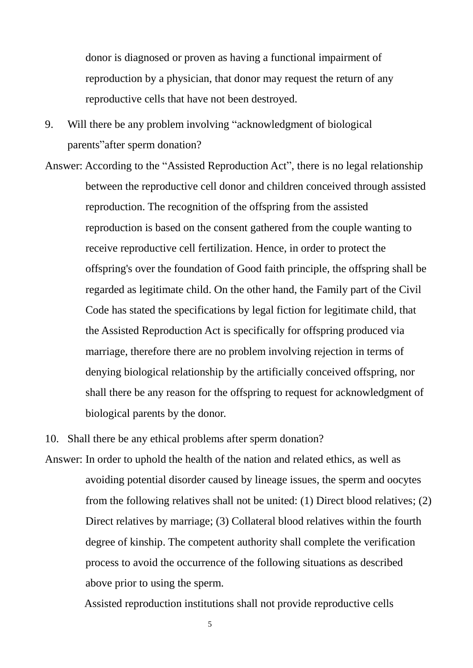donor is diagnosed or proven as having a functional impairment of reproduction by a physician, that donor may request the return of any reproductive cells that have not been destroyed.

- 9. Will there be any problem involving "acknowledgment of biological parents"after sperm donation?
- Answer: According to the "Assisted Reproduction Act", there is no legal relationship between the reproductive cell donor and children conceived through assisted reproduction. The recognition of the offspring from the assisted reproduction is based on the consent gathered from the couple wanting to receive reproductive cell fertilization. Hence, in order to protect the offspring's over the foundation of Good faith principle, the offspring shall be regarded as legitimate child. On the other hand, the Family part of the Civil Code has stated the specifications by legal fiction for legitimate child, that the Assisted Reproduction Act is specifically for offspring produced via marriage, therefore there are no problem involving rejection in terms of denying biological relationship by the artificially conceived offspring, nor shall there be any reason for the offspring to request for acknowledgment of biological parents by the donor.

10. Shall there be any ethical problems after sperm donation?

Answer: In order to uphold the health of the nation and related ethics, as well as avoiding potential disorder caused by lineage issues, the sperm and oocytes from the following relatives shall not be united: (1) Direct blood relatives; (2) Direct relatives by marriage; (3) Collateral blood relatives within the fourth degree of kinship. The competent authority shall complete the verification process to avoid the occurrence of the following situations as described above prior to using the sperm.

Assisted reproduction institutions shall not provide reproductive cells

5